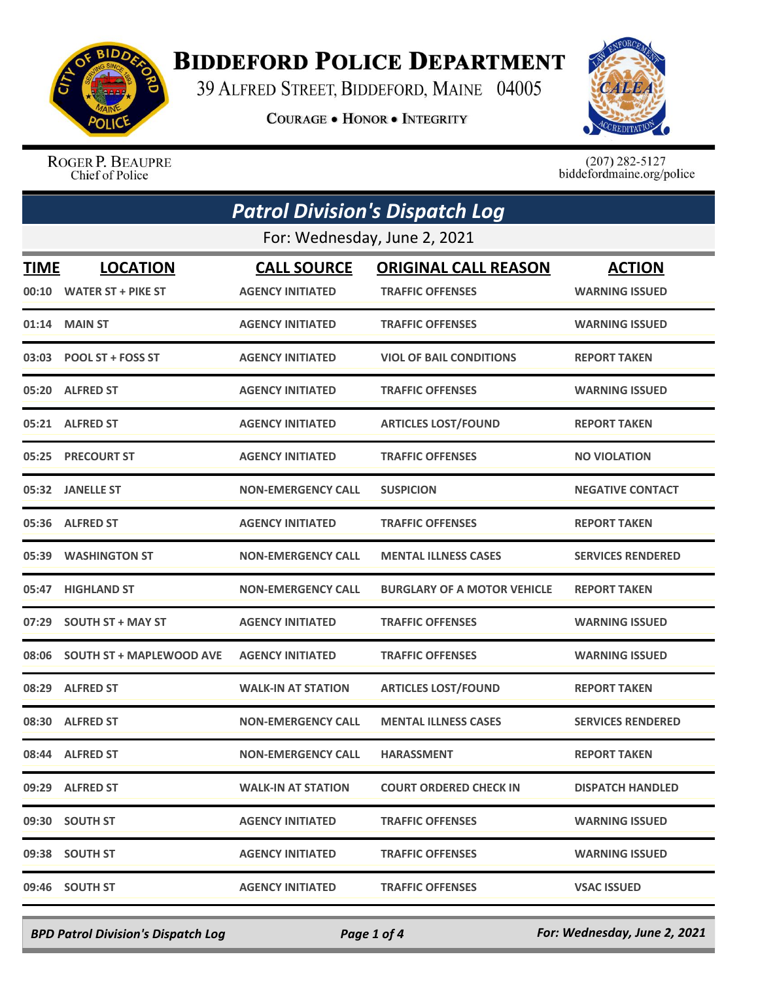

## **BIDDEFORD POLICE DEPARTMENT**

39 ALFRED STREET, BIDDEFORD, MAINE 04005

**COURAGE . HONOR . INTEGRITY** 



ROGER P. BEAUPRE Chief of Police

 $(207)$  282-5127<br>biddefordmaine.org/police

| <b>Patrol Division's Dispatch Log</b> |                                 |                           |                                    |                          |  |  |
|---------------------------------------|---------------------------------|---------------------------|------------------------------------|--------------------------|--|--|
|                                       | For: Wednesday, June 2, 2021    |                           |                                    |                          |  |  |
| <b>TIME</b>                           | <b>LOCATION</b>                 | <b>CALL SOURCE</b>        | <b>ORIGINAL CALL REASON</b>        | <b>ACTION</b>            |  |  |
|                                       | 00:10 WATER ST + PIKE ST        | <b>AGENCY INITIATED</b>   | <b>TRAFFIC OFFENSES</b>            | <b>WARNING ISSUED</b>    |  |  |
| 01:14                                 | <b>MAIN ST</b>                  | <b>AGENCY INITIATED</b>   | <b>TRAFFIC OFFENSES</b>            | <b>WARNING ISSUED</b>    |  |  |
|                                       | 03:03 POOL ST + FOSS ST         | <b>AGENCY INITIATED</b>   | <b>VIOL OF BAIL CONDITIONS</b>     | <b>REPORT TAKEN</b>      |  |  |
| 05:20                                 | <b>ALFRED ST</b>                | <b>AGENCY INITIATED</b>   | <b>TRAFFIC OFFENSES</b>            | <b>WARNING ISSUED</b>    |  |  |
| 05:21                                 | <b>ALFRED ST</b>                | <b>AGENCY INITIATED</b>   | <b>ARTICLES LOST/FOUND</b>         | <b>REPORT TAKEN</b>      |  |  |
| 05:25                                 | <b>PRECOURT ST</b>              | <b>AGENCY INITIATED</b>   | <b>TRAFFIC OFFENSES</b>            | <b>NO VIOLATION</b>      |  |  |
| 05:32                                 | <b>JANELLE ST</b>               | <b>NON-EMERGENCY CALL</b> | <b>SUSPICION</b>                   | <b>NEGATIVE CONTACT</b>  |  |  |
| 05:36                                 | <b>ALFRED ST</b>                | <b>AGENCY INITIATED</b>   | <b>TRAFFIC OFFENSES</b>            | <b>REPORT TAKEN</b>      |  |  |
| 05:39                                 | <b>WASHINGTON ST</b>            | <b>NON-EMERGENCY CALL</b> | <b>MENTAL ILLNESS CASES</b>        | <b>SERVICES RENDERED</b> |  |  |
| 05:47                                 | <b>HIGHLAND ST</b>              | <b>NON-EMERGENCY CALL</b> | <b>BURGLARY OF A MOTOR VEHICLE</b> | <b>REPORT TAKEN</b>      |  |  |
| 07:29                                 | <b>SOUTH ST + MAY ST</b>        | <b>AGENCY INITIATED</b>   | <b>TRAFFIC OFFENSES</b>            | <b>WARNING ISSUED</b>    |  |  |
| 08:06                                 | <b>SOUTH ST + MAPLEWOOD AVE</b> | <b>AGENCY INITIATED</b>   | <b>TRAFFIC OFFENSES</b>            | <b>WARNING ISSUED</b>    |  |  |
| 08:29                                 | <b>ALFRED ST</b>                | <b>WALK-IN AT STATION</b> | <b>ARTICLES LOST/FOUND</b>         | <b>REPORT TAKEN</b>      |  |  |
| 08:30                                 | <b>ALFRED ST</b>                | <b>NON-EMERGENCY CALL</b> | <b>MENTAL ILLNESS CASES</b>        | <b>SERVICES RENDERED</b> |  |  |
|                                       | 08:44 ALFRED ST                 | <b>NON-EMERGENCY CALL</b> | <b>HARASSMENT</b>                  | <b>REPORT TAKEN</b>      |  |  |
|                                       | 09:29 ALFRED ST                 | <b>WALK-IN AT STATION</b> | <b>COURT ORDERED CHECK IN</b>      | <b>DISPATCH HANDLED</b>  |  |  |
|                                       | 09:30 SOUTH ST                  | <b>AGENCY INITIATED</b>   | <b>TRAFFIC OFFENSES</b>            | <b>WARNING ISSUED</b>    |  |  |
|                                       | 09:38 SOUTH ST                  | <b>AGENCY INITIATED</b>   | <b>TRAFFIC OFFENSES</b>            | <b>WARNING ISSUED</b>    |  |  |
| 09:46                                 | <b>SOUTH ST</b>                 | <b>AGENCY INITIATED</b>   | <b>TRAFFIC OFFENSES</b>            | <b>VSAC ISSUED</b>       |  |  |

*BPD Patrol Division's Dispatch Log Page 1 of 4 For: Wednesday, June 2, 2021*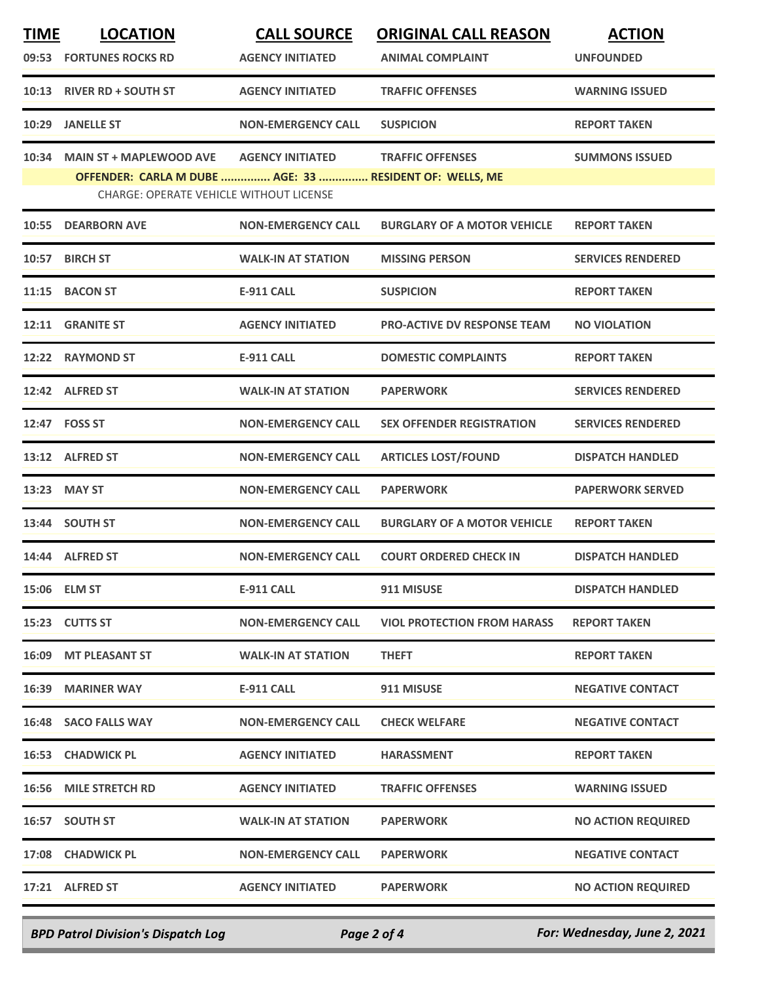| <b>TIME</b> | <b>LOCATION</b>                                                                                           | <b>CALL SOURCE</b>        | <b>ORIGINAL CALL REASON</b>        | <b>ACTION</b>             |
|-------------|-----------------------------------------------------------------------------------------------------------|---------------------------|------------------------------------|---------------------------|
|             | 09:53 FORTUNES ROCKS RD                                                                                   | <b>AGENCY INITIATED</b>   | <b>ANIMAL COMPLAINT</b>            | <b>UNFOUNDED</b>          |
|             | 10:13 RIVER RD + SOUTH ST                                                                                 | <b>AGENCY INITIATED</b>   | <b>TRAFFIC OFFENSES</b>            | <b>WARNING ISSUED</b>     |
| 10:29       | <b>JANELLE ST</b>                                                                                         | <b>NON-EMERGENCY CALL</b> | <b>SUSPICION</b>                   | <b>REPORT TAKEN</b>       |
| 10:34       | <b>MAIN ST + MAPLEWOOD AVE</b>                                                                            | <b>AGENCY INITIATED</b>   | <b>TRAFFIC OFFENSES</b>            | <b>SUMMONS ISSUED</b>     |
|             | OFFENDER: CARLA M DUBE  AGE: 33  RESIDENT OF: WELLS, ME<br><b>CHARGE: OPERATE VEHICLE WITHOUT LICENSE</b> |                           |                                    |                           |
| 10:55       | <b>DEARBORN AVE</b>                                                                                       | <b>NON-EMERGENCY CALL</b> | <b>BURGLARY OF A MOTOR VEHICLE</b> | <b>REPORT TAKEN</b>       |
| 10:57       | <b>BIRCH ST</b>                                                                                           | <b>WALK-IN AT STATION</b> | <b>MISSING PERSON</b>              | <b>SERVICES RENDERED</b>  |
| 11:15       | <b>BACON ST</b>                                                                                           | <b>E-911 CALL</b>         | <b>SUSPICION</b>                   | <b>REPORT TAKEN</b>       |
|             | 12:11 GRANITE ST                                                                                          | <b>AGENCY INITIATED</b>   | <b>PRO-ACTIVE DV RESPONSE TEAM</b> | <b>NO VIOLATION</b>       |
|             | 12:22 RAYMOND ST                                                                                          | <b>E-911 CALL</b>         | <b>DOMESTIC COMPLAINTS</b>         | <b>REPORT TAKEN</b>       |
|             | 12:42 ALFRED ST                                                                                           | <b>WALK-IN AT STATION</b> | <b>PAPERWORK</b>                   | <b>SERVICES RENDERED</b>  |
|             | 12:47 FOSS ST                                                                                             | <b>NON-EMERGENCY CALL</b> | <b>SEX OFFENDER REGISTRATION</b>   | <b>SERVICES RENDERED</b>  |
|             | 13:12 ALFRED ST                                                                                           | <b>NON-EMERGENCY CALL</b> | <b>ARTICLES LOST/FOUND</b>         | <b>DISPATCH HANDLED</b>   |
|             | 13:23 MAY ST                                                                                              | <b>NON-EMERGENCY CALL</b> | <b>PAPERWORK</b>                   | <b>PAPERWORK SERVED</b>   |
|             | 13:44 SOUTH ST                                                                                            | <b>NON-EMERGENCY CALL</b> | <b>BURGLARY OF A MOTOR VEHICLE</b> | <b>REPORT TAKEN</b>       |
|             | 14:44 ALFRED ST                                                                                           | <b>NON-EMERGENCY CALL</b> | <b>COURT ORDERED CHECK IN</b>      | <b>DISPATCH HANDLED</b>   |
|             | 15:06 ELM ST                                                                                              | <b>E-911 CALL</b>         | 911 MISUSE                         | <b>DISPATCH HANDLED</b>   |
|             | 15:23 CUTTS ST                                                                                            | <b>NON-EMERGENCY CALL</b> | <b>VIOL PROTECTION FROM HARASS</b> | <b>REPORT TAKEN</b>       |
|             | 16:09 MT PLEASANT ST                                                                                      | <b>WALK-IN AT STATION</b> | <b>THEFT</b>                       | <b>REPORT TAKEN</b>       |
|             | 16:39 MARINER WAY                                                                                         | <b>E-911 CALL</b>         | 911 MISUSE                         | <b>NEGATIVE CONTACT</b>   |
|             | 16:48 SACO FALLS WAY                                                                                      | <b>NON-EMERGENCY CALL</b> | <b>CHECK WELFARE</b>               | <b>NEGATIVE CONTACT</b>   |
|             | 16:53 CHADWICK PL                                                                                         | <b>AGENCY INITIATED</b>   | <b>HARASSMENT</b>                  | <b>REPORT TAKEN</b>       |
|             | <b>16:56 MILE STRETCH RD</b>                                                                              | <b>AGENCY INITIATED</b>   | <b>TRAFFIC OFFENSES</b>            | <b>WARNING ISSUED</b>     |
|             | 16:57 SOUTH ST                                                                                            | <b>WALK-IN AT STATION</b> | <b>PAPERWORK</b>                   | <b>NO ACTION REQUIRED</b> |
|             | 17:08 CHADWICK PL                                                                                         | <b>NON-EMERGENCY CALL</b> | <b>PAPERWORK</b>                   | <b>NEGATIVE CONTACT</b>   |
|             | 17:21 ALFRED ST                                                                                           | <b>AGENCY INITIATED</b>   | <b>PAPERWORK</b>                   | <b>NO ACTION REQUIRED</b> |
|             |                                                                                                           |                           |                                    |                           |

*BPD Patrol Division's Dispatch Log Page 2 of 4 For: Wednesday, June 2, 2021*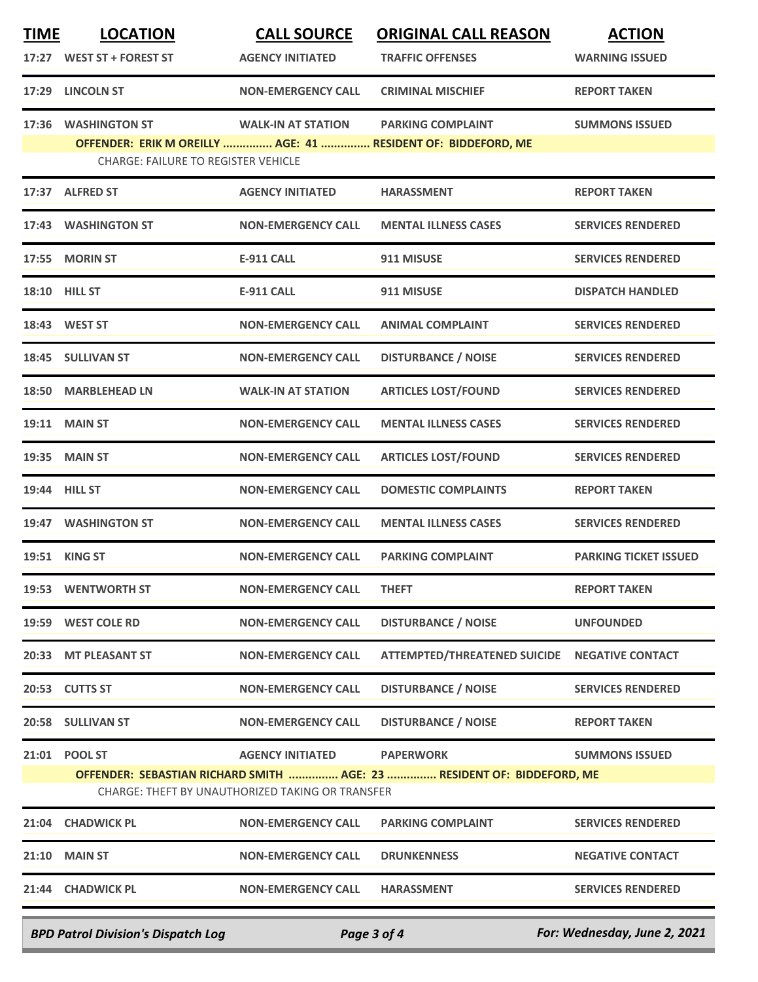| <b>TIME</b>                                                                                                                | <b>LOCATION</b>                            | <b>CALL SOURCE</b>        | <b>ORIGINAL CALL REASON</b>                                   | <b>ACTION</b>                |  |
|----------------------------------------------------------------------------------------------------------------------------|--------------------------------------------|---------------------------|---------------------------------------------------------------|------------------------------|--|
|                                                                                                                            | 17:27 WEST ST + FOREST ST                  | <b>AGENCY INITIATED</b>   | <b>TRAFFIC OFFENSES</b>                                       | <b>WARNING ISSUED</b>        |  |
| 17:29                                                                                                                      | <b>LINCOLN ST</b>                          | <b>NON-EMERGENCY CALL</b> | <b>CRIMINAL MISCHIEF</b>                                      | <b>REPORT TAKEN</b>          |  |
| 17:36                                                                                                                      | <b>WASHINGTON ST</b>                       | <b>WALK-IN AT STATION</b> | <b>PARKING COMPLAINT</b>                                      | <b>SUMMONS ISSUED</b>        |  |
|                                                                                                                            | <b>CHARGE: FAILURE TO REGISTER VEHICLE</b> |                           | OFFENDER: ERIK M OREILLY  AGE: 41  RESIDENT OF: BIDDEFORD, ME |                              |  |
|                                                                                                                            | 17:37 ALFRED ST                            | <b>AGENCY INITIATED</b>   | <b>HARASSMENT</b>                                             | <b>REPORT TAKEN</b>          |  |
|                                                                                                                            | 17:43 WASHINGTON ST                        | <b>NON-EMERGENCY CALL</b> | <b>MENTAL ILLNESS CASES</b>                                   | <b>SERVICES RENDERED</b>     |  |
| 17:55                                                                                                                      | <b>MORIN ST</b>                            | <b>E-911 CALL</b>         | 911 MISUSE                                                    | <b>SERVICES RENDERED</b>     |  |
|                                                                                                                            | <b>18:10 HILL ST</b>                       | <b>E-911 CALL</b>         | 911 MISUSE                                                    | <b>DISPATCH HANDLED</b>      |  |
|                                                                                                                            | 18:43 WEST ST                              | <b>NON-EMERGENCY CALL</b> | <b>ANIMAL COMPLAINT</b>                                       | <b>SERVICES RENDERED</b>     |  |
|                                                                                                                            | 18:45 SULLIVAN ST                          | <b>NON-EMERGENCY CALL</b> | <b>DISTURBANCE / NOISE</b>                                    | <b>SERVICES RENDERED</b>     |  |
| 18:50                                                                                                                      | <b>MARBLEHEAD LN</b>                       | <b>WALK-IN AT STATION</b> | <b>ARTICLES LOST/FOUND</b>                                    | <b>SERVICES RENDERED</b>     |  |
|                                                                                                                            | <b>19:11 MAIN ST</b>                       | <b>NON-EMERGENCY CALL</b> | <b>MENTAL ILLNESS CASES</b>                                   | <b>SERVICES RENDERED</b>     |  |
| 19:35                                                                                                                      | <b>MAIN ST</b>                             | <b>NON-EMERGENCY CALL</b> | <b>ARTICLES LOST/FOUND</b>                                    | <b>SERVICES RENDERED</b>     |  |
|                                                                                                                            | 19:44 HILL ST                              | <b>NON-EMERGENCY CALL</b> | <b>DOMESTIC COMPLAINTS</b>                                    | <b>REPORT TAKEN</b>          |  |
|                                                                                                                            | 19:47 WASHINGTON ST                        | <b>NON-EMERGENCY CALL</b> | <b>MENTAL ILLNESS CASES</b>                                   | <b>SERVICES RENDERED</b>     |  |
|                                                                                                                            | 19:51 KING ST                              | <b>NON-EMERGENCY CALL</b> | <b>PARKING COMPLAINT</b>                                      | <b>PARKING TICKET ISSUED</b> |  |
|                                                                                                                            | 19:53 WENTWORTH ST                         | <b>NON-EMERGENCY CALL</b> | <b>THEFT</b>                                                  | <b>REPORT TAKEN</b>          |  |
|                                                                                                                            | 19:59 WEST COLE RD                         | <b>NON-EMERGENCY CALL</b> | <b>DISTURBANCE / NOISE</b>                                    | <b>UNFOUNDED</b>             |  |
|                                                                                                                            | 20:33 MT PLEASANT ST                       | <b>NON-EMERGENCY CALL</b> | <b>ATTEMPTED/THREATENED SUICIDE</b>                           | <b>NEGATIVE CONTACT</b>      |  |
|                                                                                                                            | 20:53 CUTTS ST                             | <b>NON-EMERGENCY CALL</b> | <b>DISTURBANCE / NOISE</b>                                    | <b>SERVICES RENDERED</b>     |  |
|                                                                                                                            | 20:58 SULLIVAN ST                          | <b>NON-EMERGENCY CALL</b> | <b>DISTURBANCE / NOISE</b>                                    | <b>REPORT TAKEN</b>          |  |
|                                                                                                                            | 21:01 POOL ST                              | <b>AGENCY INITIATED</b>   | <b>PAPERWORK</b>                                              | <b>SUMMONS ISSUED</b>        |  |
| OFFENDER: SEBASTIAN RICHARD SMITH  AGE: 23  RESIDENT OF: BIDDEFORD, ME<br>CHARGE: THEFT BY UNAUTHORIZED TAKING OR TRANSFER |                                            |                           |                                                               |                              |  |
| 21:04                                                                                                                      | <b>CHADWICK PL</b>                         | <b>NON-EMERGENCY CALL</b> | <b>PARKING COMPLAINT</b>                                      | <b>SERVICES RENDERED</b>     |  |
| 21:10                                                                                                                      | <b>MAIN ST</b>                             | <b>NON-EMERGENCY CALL</b> | <b>DRUNKENNESS</b>                                            | <b>NEGATIVE CONTACT</b>      |  |
|                                                                                                                            | 21:44 CHADWICK PL                          | <b>NON-EMERGENCY CALL</b> | <b>HARASSMENT</b>                                             | <b>SERVICES RENDERED</b>     |  |
|                                                                                                                            |                                            |                           |                                                               |                              |  |

*BPD Patrol Division's Dispatch Log Page 3 of 4 For: Wednesday, June 2, 2021*